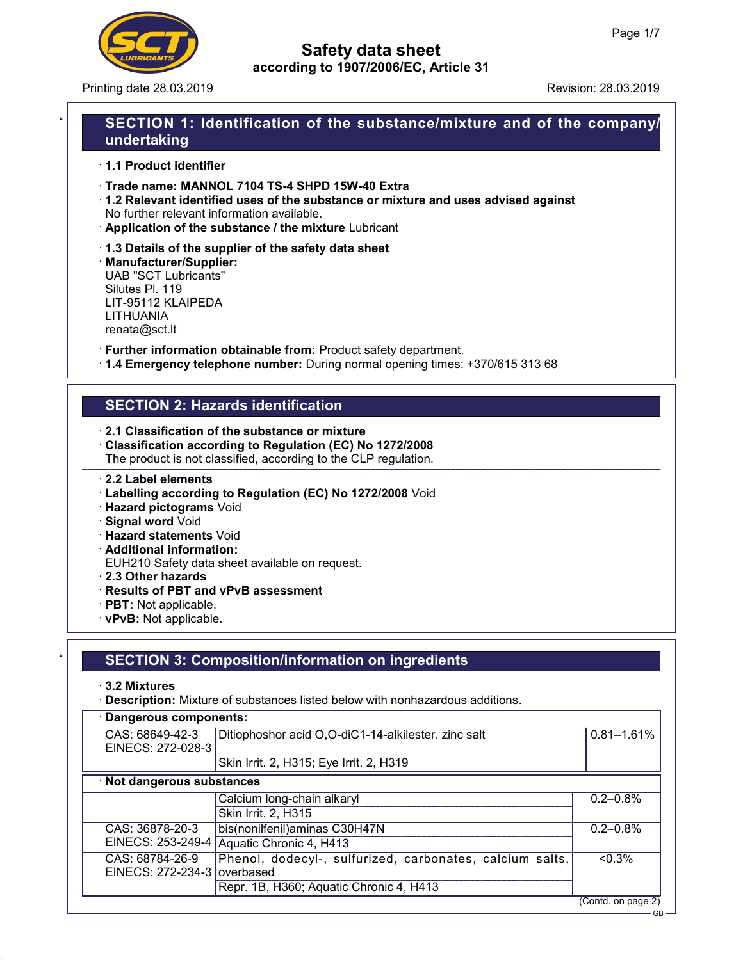

Printing date 28.03.2019 **Revision: 28.03.2019** Revision: 28.03.2019

## SECTION 1: Identification of the substance/mixture and of the company/ undertaking

· 1.1 Product identifier

· Trade name: MANNOL 7104 TS-4 SHPD 15W-40 Extra

- · 1.2 Relevant identified uses of the substance or mixture and uses advised against No further relevant information available.
- · Application of the substance / the mixture Lubricant
- · 1.3 Details of the supplier of the safety data sheet

· Manufacturer/Supplier: UAB "SCT Lubricants" Silutes Pl. 119 LIT-95112 KLAIPEDA LITHUANIA renata@sct.lt

· Further information obtainable from: Product safety department.

· 1.4 Emergency telephone number: During normal opening times: +370/615 313 68

## SECTION 2: Hazards identification

- · 2.1 Classification of the substance or mixture
- · Classification according to Regulation (EC) No 1272/2008 The product is not classified, according to the CLP regulation.

#### · 2.2 Label elements

- · Labelling according to Regulation (EC) No 1272/2008 Void
- · Hazard pictograms Void
- · Signal word Void
- · Hazard statements Void
- · Additional information:

EUH210 Safety data sheet available on request.

- · 2.3 Other hazards
- · Results of PBT and vPvB assessment
- · PBT: Not applicable.
- · vPvB: Not applicable.

## **SECTION 3: Composition/information on ingredients**

· 3.2 Mixtures

· Description: Mixture of substances listed below with nonhazardous additions.

| Dangerous components:                          |                                                          |                                  |  |  |
|------------------------------------------------|----------------------------------------------------------|----------------------------------|--|--|
| CAS: 68649-42-3<br>EINECS: 272-028-3           | Ditiophoshor acid O,O-diC1-14-alkilester. zinc salt      | $0.81 - 1.61%$                   |  |  |
|                                                | Skin Irrit. 2, H315; Eye Irrit. 2, H319                  |                                  |  |  |
| · Not dangerous substances                     |                                                          |                                  |  |  |
|                                                | Calcium long-chain alkaryl                               | $0.2 - 0.8\%$                    |  |  |
|                                                | Skin Irrit. 2, H315                                      |                                  |  |  |
| CAS: 36878-20-3                                | bis(nonilfenil) aminas C30H47N                           | $0.2 - 0.8\%$                    |  |  |
|                                                | EINECS: 253-249-4 Aquatic Chronic 4, H413                |                                  |  |  |
| CAS: 68784-26-9<br>EINECS: 272-234-3 overbased | Phenol, dodecyl-, sulfurized, carbonates, calcium salts, | $< 0.3\%$                        |  |  |
|                                                | Repr. 1B, H360; Aquatic Chronic 4, H413                  |                                  |  |  |
|                                                |                                                          | (Contd. on page 2)<br>$-$ CR $-$ |  |  |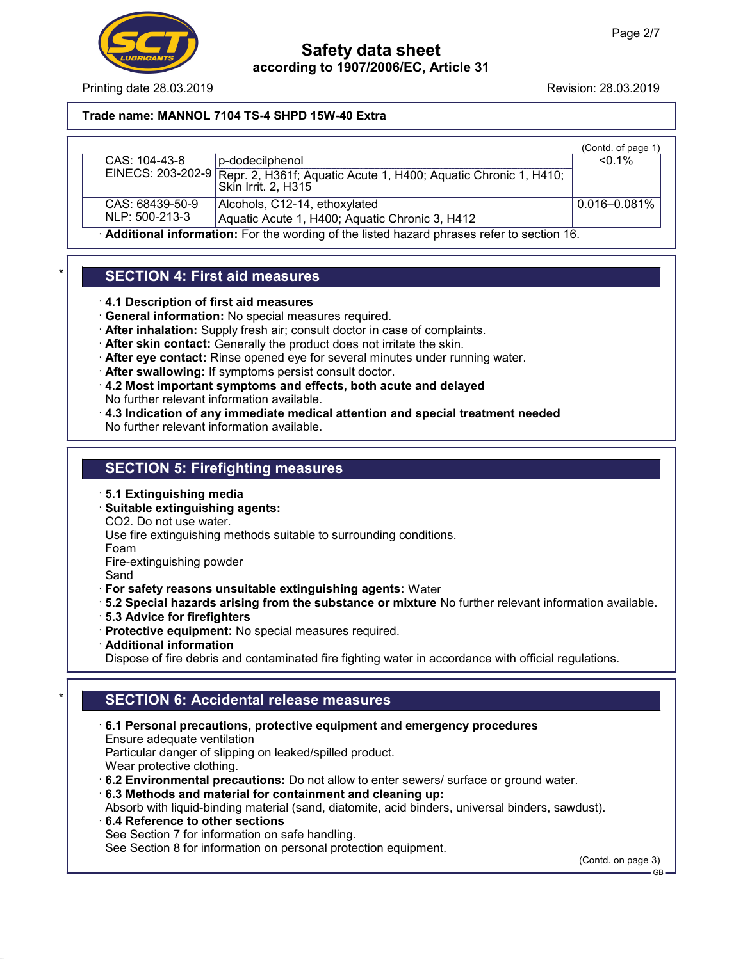

Printing date 28.03.2019 **Revision: 28.03.2019** Revision: 28.03.2019

Trade name: MANNOL 7104 TS-4 SHPD 15W-40 Extra

|                                                                                            |                                                                                                          | (Contd. of page 1 |
|--------------------------------------------------------------------------------------------|----------------------------------------------------------------------------------------------------------|-------------------|
| CAS: 104-43-8                                                                              | b-dodecilphenol                                                                                          | $<$ 0.1%          |
|                                                                                            | EINECS: 203-202-9 Repr. 2, H361f; Aquatic Acute 1, H400; Aquatic Chronic 1, H410;<br>Skin Irrit. 2. H315 |                   |
| CAS: 68439-50-9                                                                            | Alcohols, C12-14, ethoxylated                                                                            | $0.016 - 0.081\%$ |
| NLP: 500-213-3                                                                             | Aquatic Acute 1, H400; Aquatic Chronic 3, H412                                                           |                   |
| . Additional information: Ear the wording of the listed begand phrases refer to section 16 |                                                                                                          |                   |

· Additional information: For the wording of the listed hazard phrases refer to section 16.

## **SECTION 4: First aid measures**

- · 4.1 Description of first aid measures
- · General information: No special measures required.
- · After inhalation: Supply fresh air; consult doctor in case of complaints.
- · After skin contact: Generally the product does not irritate the skin.
- · After eye contact: Rinse opened eye for several minutes under running water.
- · After swallowing: If symptoms persist consult doctor.
- · 4.2 Most important symptoms and effects, both acute and delayed No further relevant information available.
- · 4.3 Indication of any immediate medical attention and special treatment needed No further relevant information available.

## SECTION 5: Firefighting measures

- · 5.1 Extinguishing media
- · Suitable extinguishing agents:

CO2. Do not use water.

Use fire extinguishing methods suitable to surrounding conditions.

Foam

Fire-extinguishing powder

Sand

- · For safety reasons unsuitable extinguishing agents: Water
- · 5.2 Special hazards arising from the substance or mixture No further relevant information available.
- · 5.3 Advice for firefighters
- · Protective equipment: No special measures required.
- · Additional information

Dispose of fire debris and contaminated fire fighting water in accordance with official regulations.

## **SECTION 6: Accidental release measures**

- · 6.1 Personal precautions, protective equipment and emergency procedures Ensure adequate ventilation Particular danger of slipping on leaked/spilled product. Wear protective clothing.  $\cdot$  6.2 Environmental precautions: Do not allow to enter sewers/ surface or ground water.
- · 6.3 Methods and material for containment and cleaning up:

Absorb with liquid-binding material (sand, diatomite, acid binders, universal binders, sawdust).

· 6.4 Reference to other sections See Section 7 for information on safe handling. See Section 8 for information on personal protection equipment.

(Contd. on page 3)

 $-$  GB  $-$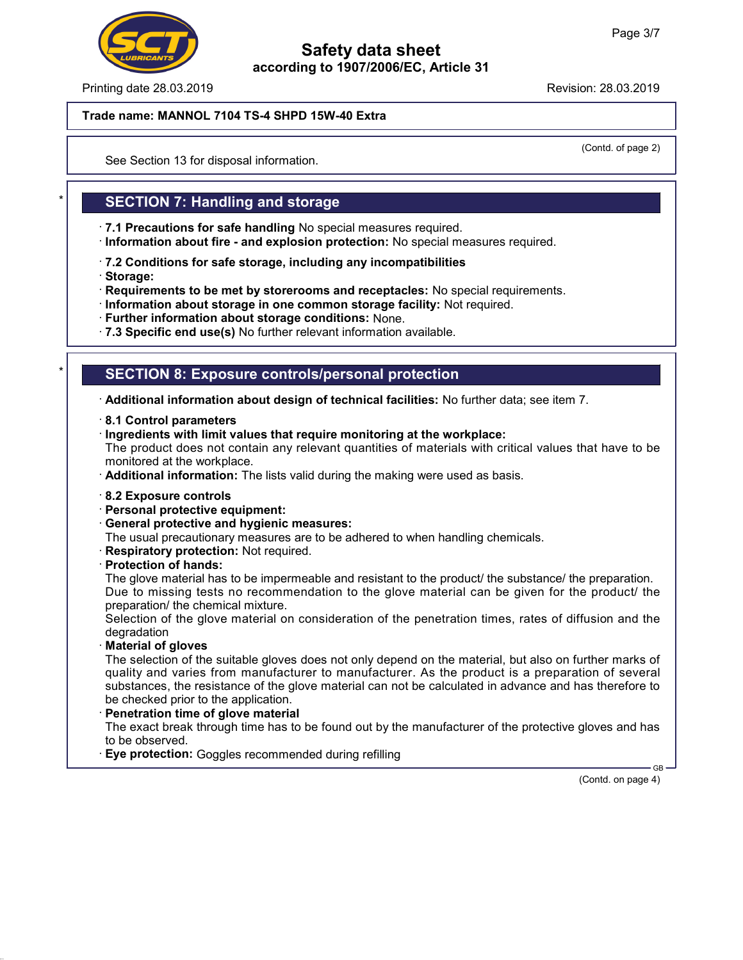

Printing date 28.03.2019 **Revision: 28.03.2019** Revision: 28.03.2019

#### Trade name: MANNOL 7104 TS-4 SHPD 15W-40 Extra

(Contd. of page 2)

See Section 13 for disposal information.

### **SECTION 7: Handling and storage**

- · 7.1 Precautions for safe handling No special measures required.
- · Information about fire and explosion protection: No special measures required.
- · 7.2 Conditions for safe storage, including any incompatibilities
- · Storage:
- · Requirements to be met by storerooms and receptacles: No special requirements.
- · Information about storage in one common storage facility: Not required.
- · Further information about storage conditions: None.
- · 7.3 Specific end use(s) No further relevant information available.

### **SECTION 8: Exposure controls/personal protection**

· Additional information about design of technical facilities: No further data; see item 7.

- · 8.1 Control parameters
- · Ingredients with limit values that require monitoring at the workplace:

The product does not contain any relevant quantities of materials with critical values that have to be monitored at the workplace.

- · Additional information: The lists valid during the making were used as basis.
- · 8.2 Exposure controls
- · Personal protective equipment:
- · General protective and hygienic measures:
- The usual precautionary measures are to be adhered to when handling chemicals.
- · Respiratory protection: Not required.
- · Protection of hands:

The glove material has to be impermeable and resistant to the product/ the substance/ the preparation. Due to missing tests no recommendation to the glove material can be given for the product/ the preparation/ the chemical mixture.

Selection of the glove material on consideration of the penetration times, rates of diffusion and the degradation

· Material of gloves

The selection of the suitable gloves does not only depend on the material, but also on further marks of quality and varies from manufacturer to manufacturer. As the product is a preparation of several substances, the resistance of the glove material can not be calculated in advance and has therefore to be checked prior to the application.

· Penetration time of glove material

The exact break through time has to be found out by the manufacturer of the protective gloves and has to be observed.

· Eye protection: Goggles recommended during refilling

(Contd. on page 4)

GB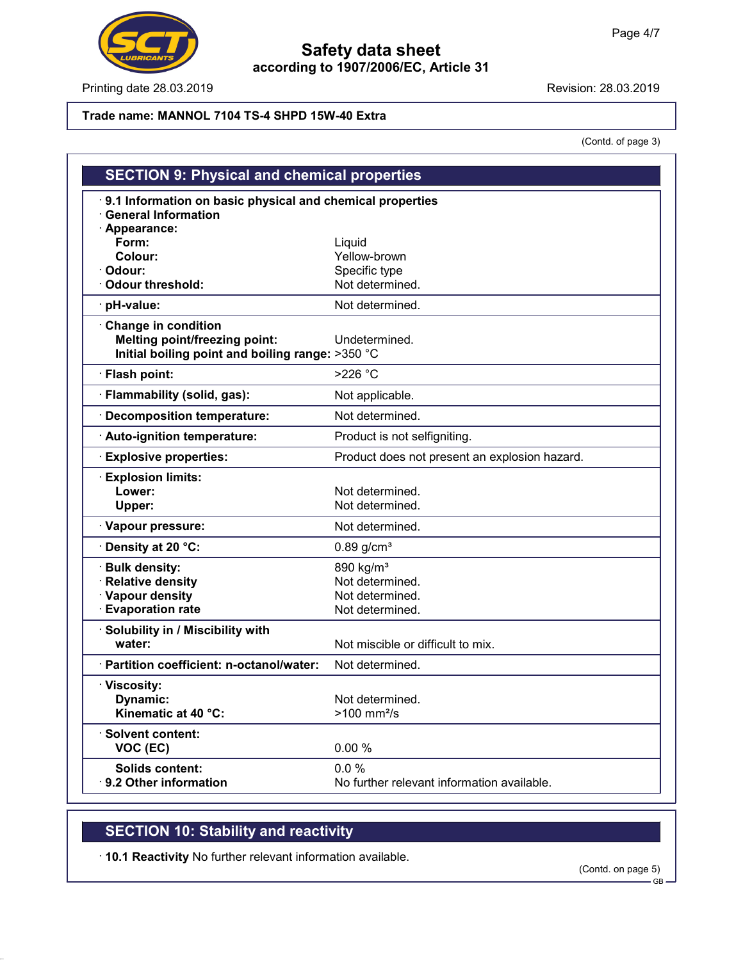

Printing date 28.03.2019 **Revision: 28.03.2019** 

#### Trade name: MANNOL 7104 TS-4 SHPD 15W-40 Extra

(Contd. of page 3)

|                                                           | <b>SECTION 9: Physical and chemical properties</b> |  |  |  |  |
|-----------------------------------------------------------|----------------------------------------------------|--|--|--|--|
| 9.1 Information on basic physical and chemical properties |                                                    |  |  |  |  |
| <b>General Information</b>                                |                                                    |  |  |  |  |
| · Appearance:<br>Form:                                    | Liquid                                             |  |  |  |  |
| Colour:                                                   | Yellow-brown                                       |  |  |  |  |
| · Odour:                                                  | Specific type                                      |  |  |  |  |
| Odour threshold:                                          | Not determined.                                    |  |  |  |  |
| · pH-value:                                               | Not determined.                                    |  |  |  |  |
| Change in condition                                       |                                                    |  |  |  |  |
| <b>Melting point/freezing point:</b>                      | Undetermined.                                      |  |  |  |  |
| Initial boiling point and boiling range: >350 °C          |                                                    |  |  |  |  |
| · Flash point:                                            | $>226$ °C                                          |  |  |  |  |
| · Flammability (solid, gas):                              | Not applicable.                                    |  |  |  |  |
| · Decomposition temperature:                              | Not determined.                                    |  |  |  |  |
| · Auto-ignition temperature:                              | Product is not selfigniting.                       |  |  |  |  |
| <b>Explosive properties:</b>                              | Product does not present an explosion hazard.      |  |  |  |  |
| <b>Explosion limits:</b>                                  |                                                    |  |  |  |  |
| Lower:                                                    | Not determined.                                    |  |  |  |  |
| Upper:                                                    | Not determined.                                    |  |  |  |  |
| · Vapour pressure:                                        | Not determined.                                    |  |  |  |  |
| · Density at 20 °C:                                       | $0.89$ g/cm <sup>3</sup>                           |  |  |  |  |
| · Bulk density:                                           | 890 kg/m <sup>3</sup>                              |  |  |  |  |
| · Relative density                                        | Not determined.                                    |  |  |  |  |
| · Vapour density                                          | Not determined.                                    |  |  |  |  |
| <b>Evaporation rate</b>                                   | Not determined.                                    |  |  |  |  |
| · Solubility in / Miscibility with                        |                                                    |  |  |  |  |
| water:                                                    | Not miscible or difficult to mix.                  |  |  |  |  |
| · Partition coefficient: n-octanol/water:                 | Not determined.                                    |  |  |  |  |
| · Viscosity:                                              |                                                    |  |  |  |  |
| Dynamic:                                                  | Not determined.                                    |  |  |  |  |
| Kinematic at 40 °C:                                       | $>100$ mm <sup>2</sup> /s                          |  |  |  |  |
| · Solvent content:                                        |                                                    |  |  |  |  |
| VOC (EC)                                                  | 0.00%                                              |  |  |  |  |
| <b>Solids content:</b>                                    | 0.0%                                               |  |  |  |  |
| ⋅ 9.2 Other information                                   | No further relevant information available.         |  |  |  |  |

# SECTION 10: Stability and reactivity

· 10.1 Reactivity No further relevant information available.

(Contd. on page 5)

GB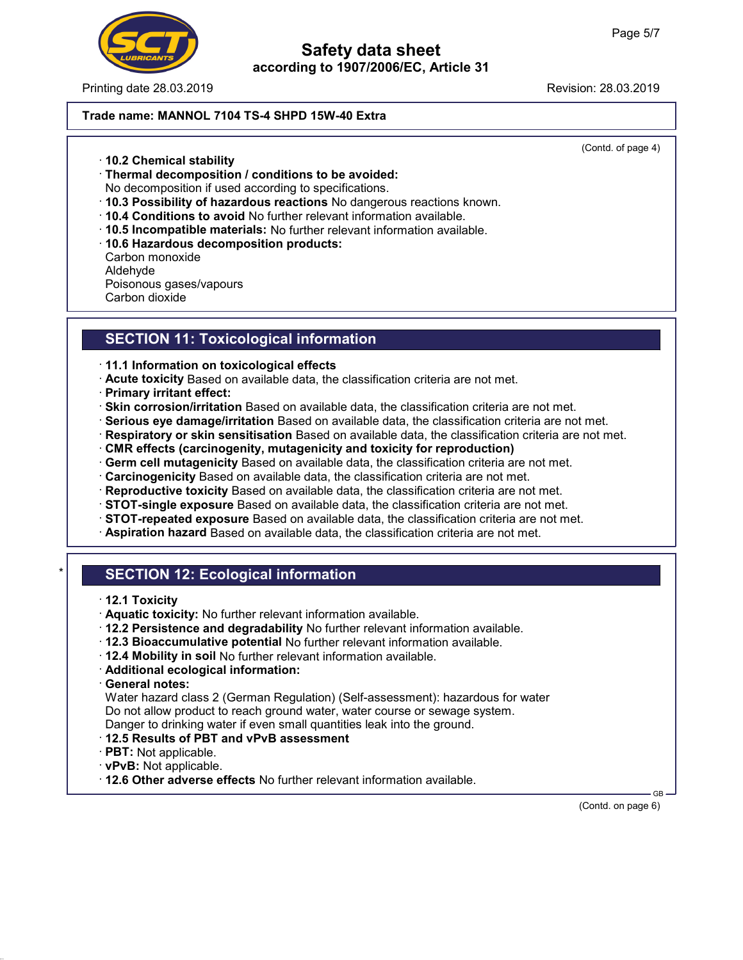

Printing date 28.03.2019 **Revision: 28.03.2019** Revision: 28.03.2019

## Safety data sheet according to 1907/2006/EC, Article 31

## Trade name: MANNOL 7104 TS-4 SHPD 15W-40 Extra

(Contd. of page 4)

- · 10.2 Chemical stability
- · Thermal decomposition / conditions to be avoided:
- No decomposition if used according to specifications.
- · 10.3 Possibility of hazardous reactions No dangerous reactions known.
- · 10.4 Conditions to avoid No further relevant information available.
- · 10.5 Incompatible materials: No further relevant information available.
- · 10.6 Hazardous decomposition products: Carbon monoxide Aldehyde Poisonous gases/vapours Carbon dioxide

# SECTION 11: Toxicological information

- · 11.1 Information on toxicological effects
- · Acute toxicity Based on available data, the classification criteria are not met.
- · Primary irritant effect:
- · Skin corrosion/irritation Based on available data, the classification criteria are not met.
- · Serious eye damage/irritation Based on available data, the classification criteria are not met.
- · Respiratory or skin sensitisation Based on available data, the classification criteria are not met.
- · CMR effects (carcinogenity, mutagenicity and toxicity for reproduction)
- · Germ cell mutagenicity Based on available data, the classification criteria are not met.
- · Carcinogenicity Based on available data, the classification criteria are not met.
- · Reproductive toxicity Based on available data, the classification criteria are not met.
- · STOT-single exposure Based on available data, the classification criteria are not met.
- · STOT-repeated exposure Based on available data, the classification criteria are not met.
- · Aspiration hazard Based on available data, the classification criteria are not met.

# **SECTION 12: Ecological information**

- · 12.1 Toxicity
- · Aquatic toxicity: No further relevant information available.
- · 12.2 Persistence and degradability No further relevant information available.
- · 12.3 Bioaccumulative potential No further relevant information available.
- · 12.4 Mobility in soil No further relevant information available.
- · Additional ecological information:
- · General notes:

Water hazard class 2 (German Regulation) (Self-assessment): hazardous for water Do not allow product to reach ground water, water course or sewage system. Danger to drinking water if even small quantities leak into the ground.

- · 12.5 Results of PBT and vPvB assessment
- · PBT: Not applicable.
- · vPvB: Not applicable.
- · 12.6 Other adverse effects No further relevant information available.

 GB (Contd. on page 6)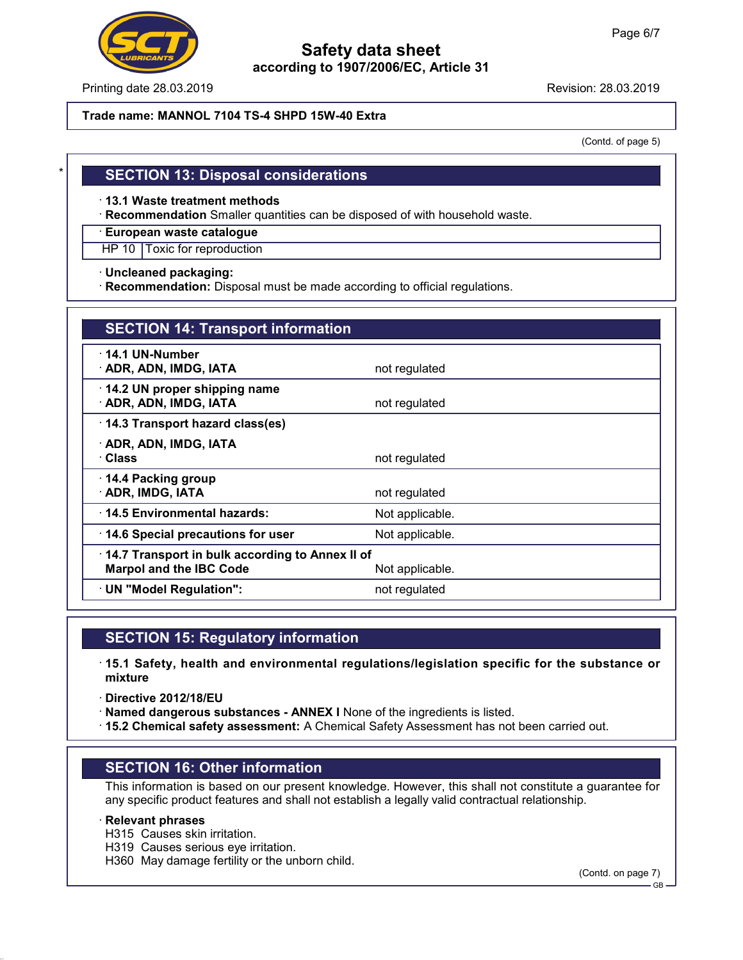

Printing date 28.03.2019 **Revision: 28.03.2019** Revision: 28.03.2019

#### Trade name: MANNOL 7104 TS-4 SHPD 15W-40 Extra

(Contd. of page 5)

### **SECTION 13: Disposal considerations**

· 13.1 Waste treatment methods

· Recommendation Smaller quantities can be disposed of with household waste.

· European waste catalogue

HP 10 Toxic for reproduction

· Uncleaned packaging:

· Recommendation: Disposal must be made according to official regulations.

| <b>SECTION 14: Transport information</b>                                                             |                 |  |
|------------------------------------------------------------------------------------------------------|-----------------|--|
| $\cdot$ 14.1 UN-Number<br>· ADR, ADN, IMDG, IATA                                                     | not regulated   |  |
| $\cdot$ 14.2 UN proper shipping name<br>· ADR, ADN, IMDG, IATA                                       | not regulated   |  |
| 14.3 Transport hazard class(es)                                                                      |                 |  |
| · ADR, ADN, IMDG, IATA<br>∙ Class                                                                    | not regulated   |  |
| 14.4 Packing group<br>· ADR, IMDG, IATA                                                              | not regulated   |  |
| 14.5 Environmental hazards:                                                                          | Not applicable. |  |
| 14.6 Special precautions for user                                                                    | Not applicable. |  |
| 14.7 Transport in bulk according to Annex II of<br><b>Marpol and the IBC Code</b><br>Not applicable. |                 |  |
| · UN "Model Regulation":                                                                             | not regulated   |  |

## SECTION 15: Regulatory information

- · 15.1 Safety, health and environmental regulations/legislation specific for the substance or mixture
- · Directive 2012/18/EU
- · Named dangerous substances ANNEX I None of the ingredients is listed.
- · 15.2 Chemical safety assessment: A Chemical Safety Assessment has not been carried out.

## SECTION 16: Other information

This information is based on our present knowledge. However, this shall not constitute a guarantee for any specific product features and shall not establish a legally valid contractual relationship.

#### · Relevant phrases

- H315 Causes skin irritation.
- H319 Causes serious eye irritation.
- H360 May damage fertility or the unborn child.

(Contd. on page 7)

 $-$  GB  $\cdot$